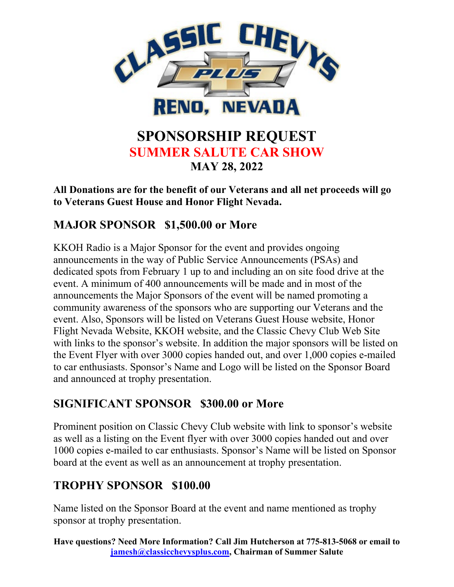

# **SPONSORSHIP REQUEST SUMMER SALUTE CAR SHOW MAY 28, 2022**

**All Donations are for the benefit of our Veterans and all net proceeds will go to Veterans Guest House and Honor Flight Nevada.** 

### **MAJOR SPONSOR \$1,500.00 or More**

KKOH Radio is a Major Sponsor for the event and provides ongoing announcements in the way of Public Service Announcements (PSAs) and dedicated spots from February 1 up to and including an on site food drive at the event. A minimum of 400 announcements will be made and in most of the announcements the Major Sponsors of the event will be named promoting a community awareness of the sponsors who are supporting our Veterans and the event. Also, Sponsors will be listed on Veterans Guest House website, Honor Flight Nevada Website, KKOH website, and the Classic Chevy Club Web Site with links to the sponsor's website. In addition the major sponsors will be listed on the Event Flyer with over 3000 copies handed out, and over 1,000 copies e-mailed to car enthusiasts. Sponsor's Name and Logo will be listed on the Sponsor Board and announced at trophy presentation.

### **SIGNIFICANT SPONSOR \$300.00 or More**

Prominent position on Classic Chevy Club website with link to sponsor's website as well as a listing on the Event flyer with over 3000 copies handed out and over 1000 copies e-mailed to car enthusiasts. Sponsor's Name will be listed on Sponsor board at the event as well as an announcement at trophy presentation.

### **TROPHY SPONSOR \$100.00**

Name listed on the Sponsor Board at the event and name mentioned as trophy sponsor at trophy presentation.

**Have questions? Need More Information? Call Jim Hutcherson at 775-813-5068 or email to [jamesh@classicchevysplus.com,](mailto:jamesh@classicchevysplus.com) Chairman of Summer Salute**